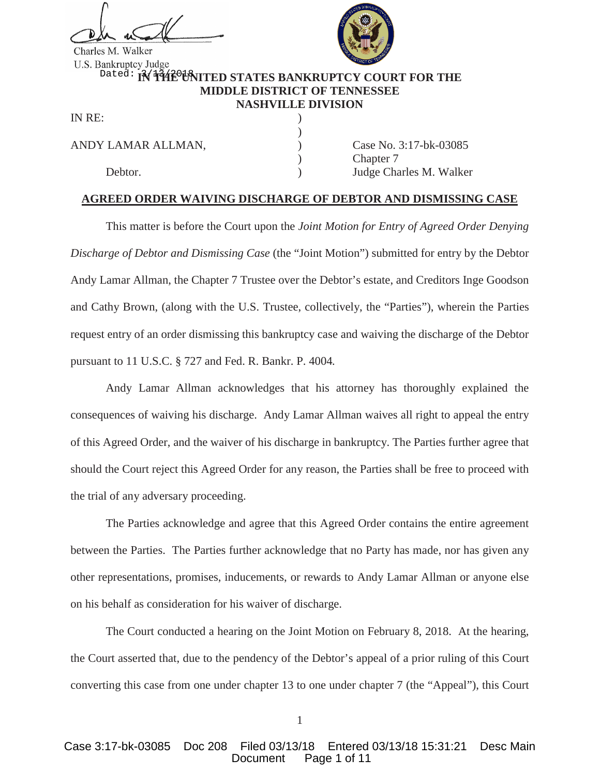Charles M. Walker



# <sup>Dated:</sup> IN THE UNITED STATES BANKRUPTCY COURT FOR THE **MIDDLE DISTRICT OF TENNESSEE NASHVILLE DIVISION**

)

IN RE:

ANDY LAMAR ALLMAN,  $\qquad \qquad$  (ase No. 3:17-bk-03085)

Chapter 7 Debtor. (a) Debtor. (b) Judge Charles M. Walker

## **AGREED ORDER WAIVING DISCHARGE OF DEBTOR AND DISMISSING CASE**

This matter is before the Court upon the *Joint Motion for Entry of Agreed Order Denying Discharge of Debtor and Dismissing Case* (the "Joint Motion") submitted for entry by the Debtor Andy Lamar Allman, the Chapter 7 Trustee over the Debtor's estate, and Creditors Inge Goodson and Cathy Brown, (along with the U.S. Trustee, collectively, the "Parties"), wherein the Parties request entry of an order dismissing this bankruptcy case and waiving the discharge of the Debtor pursuant to 11 U.S.C. § 727 and Fed. R. Bankr. P. 4004*.*

Andy Lamar Allman acknowledges that his attorney has thoroughly explained the consequences of waiving his discharge. Andy Lamar Allman waives all right to appeal the entry of this Agreed Order, and the waiver of his discharge in bankruptcy. The Parties further agree that should the Court reject this Agreed Order for any reason, the Parties shall be free to proceed with the trial of any adversary proceeding.

The Parties acknowledge and agree that this Agreed Order contains the entire agreement between the Parties. The Parties further acknowledge that no Party has made, nor has given any other representations, promises, inducements, or rewards to Andy Lamar Allman or anyone else on his behalf as consideration for his waiver of discharge.

The Court conducted a hearing on the Joint Motion on February 8, 2018. At the hearing, the Court asserted that, due to the pendency of the Debtor's appeal of a prior ruling of this Court converting this case from one under chapter 13 to one under chapter 7 (the "Appeal"), this Court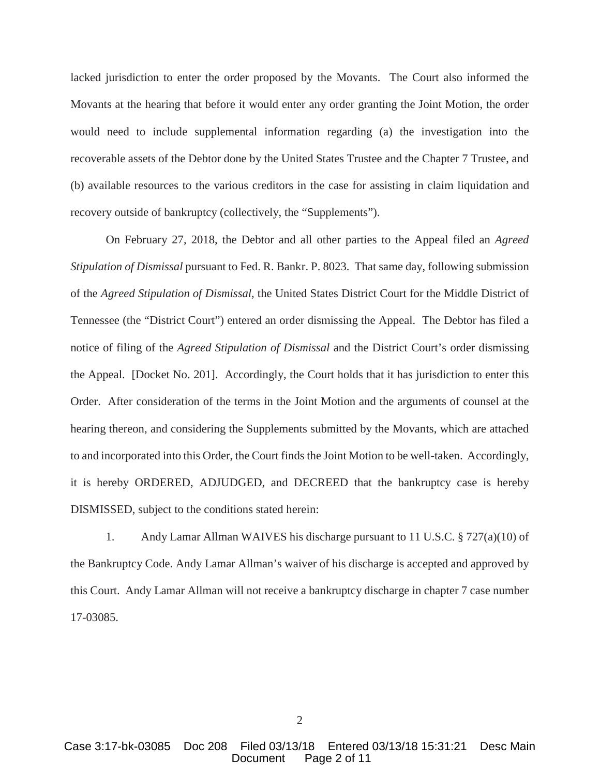lacked jurisdiction to enter the order proposed by the Movants. The Court also informed the Movants at the hearing that before it would enter any order granting the Joint Motion, the order would need to include supplemental information regarding (a) the investigation into the recoverable assets of the Debtor done by the United States Trustee and the Chapter 7 Trustee, and (b) available resources to the various creditors in the case for assisting in claim liquidation and recovery outside of bankruptcy (collectively, the "Supplements").

On February 27, 2018, the Debtor and all other parties to the Appeal filed an *Agreed Stipulation of Dismissal* pursuant to Fed. R. Bankr. P. 8023. That same day, following submission of the *Agreed Stipulation of Dismissal*, the United States District Court for the Middle District of Tennessee (the "District Court") entered an order dismissing the Appeal. The Debtor has filed a notice of filing of the *Agreed Stipulation of Dismissal* and the District Court's order dismissing the Appeal. [Docket No. 201]. Accordingly, the Court holds that it has jurisdiction to enter this Order. After consideration of the terms in the Joint Motion and the arguments of counsel at the hearing thereon, and considering the Supplements submitted by the Movants, which are attached to and incorporated into this Order, the Court finds the Joint Motion to be well-taken. Accordingly, it is hereby ORDERED, ADJUDGED, and DECREED that the bankruptcy case is hereby DISMISSED, subject to the conditions stated herein:

1. Andy Lamar Allman WAIVES his discharge pursuant to 11 U.S.C. § 727(a)(10) of the Bankruptcy Code. Andy Lamar Allman's waiver of his discharge is accepted and approved by this Court. Andy Lamar Allman will not receive a bankruptcy discharge in chapter 7 case number 17-03085.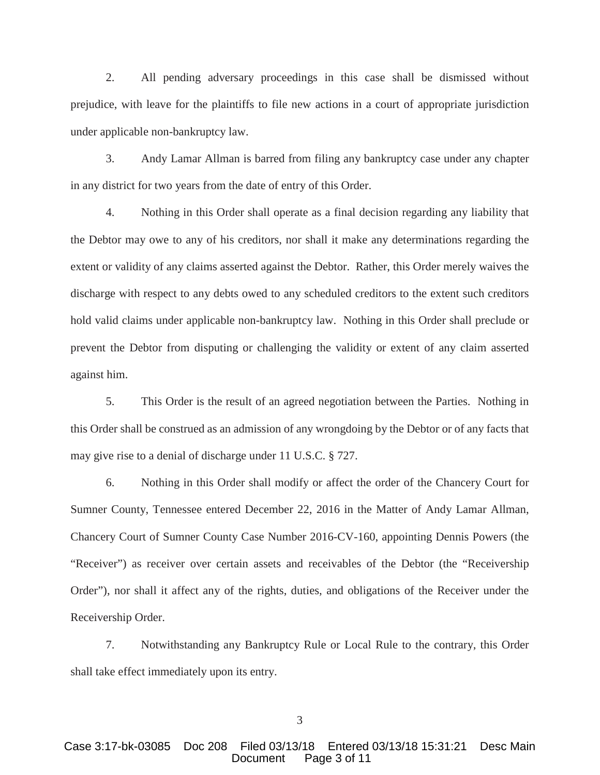2. All pending adversary proceedings in this case shall be dismissed without prejudice, with leave for the plaintiffs to file new actions in a court of appropriate jurisdiction under applicable non-bankruptcy law.

3. Andy Lamar Allman is barred from filing any bankruptcy case under any chapter in any district for two years from the date of entry of this Order.

4. Nothing in this Order shall operate as a final decision regarding any liability that the Debtor may owe to any of his creditors, nor shall it make any determinations regarding the extent or validity of any claims asserted against the Debtor. Rather, this Order merely waives the discharge with respect to any debts owed to any scheduled creditors to the extent such creditors hold valid claims under applicable non-bankruptcy law. Nothing in this Order shall preclude or prevent the Debtor from disputing or challenging the validity or extent of any claim asserted against him.

5. This Order is the result of an agreed negotiation between the Parties. Nothing in this Order shall be construed as an admission of any wrongdoing by the Debtor or of any facts that may give rise to a denial of discharge under 11 U.S.C. § 727.

6. Nothing in this Order shall modify or affect the order of the Chancery Court for Sumner County, Tennessee entered December 22, 2016 in the Matter of Andy Lamar Allman, Chancery Court of Sumner County Case Number 2016-CV-160, appointing Dennis Powers (the "Receiver") as receiver over certain assets and receivables of the Debtor (the "Receivership Order"), nor shall it affect any of the rights, duties, and obligations of the Receiver under the Receivership Order.

7. Notwithstanding any Bankruptcy Rule or Local Rule to the contrary, this Order shall take effect immediately upon its entry.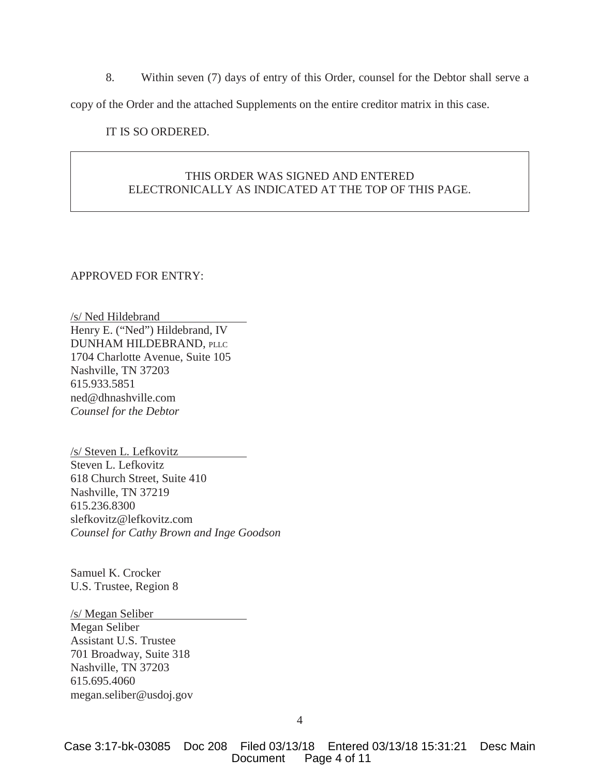8. Within seven (7) days of entry of this Order, counsel for the Debtor shall serve a copy of the Order and the attached Supplements on the entire creditor matrix in this case.

IT IS SO ORDERED.

# THIS ORDER WAS SIGNED AND ENTERED ELECTRONICALLY AS INDICATED AT THE TOP OF THIS PAGE.

## APPROVED FOR ENTRY:

/s/ Ned Hildebrand Henry E. ("Ned") Hildebrand, IV DUNHAM HILDEBRAND, PLLC 1704 Charlotte Avenue, Suite 105 Nashville, TN 37203 615.933.5851 ned@dhnashville.com *Counsel for the Debtor* 

/s/ Steven L. Lefkovitz Steven L. Lefkovitz 618 Church Street, Suite 410 Nashville, TN 37219 615.236.8300 slefkovitz@lefkovitz.com *Counsel for Cathy Brown and Inge Goodson*

Samuel K. Crocker U.S. Trustee, Region 8

#### /s/ Megan Seliber

Megan Seliber Assistant U.S. Trustee 701 Broadway, Suite 318 Nashville, TN 37203 615.695.4060 megan.seliber@usdoj.gov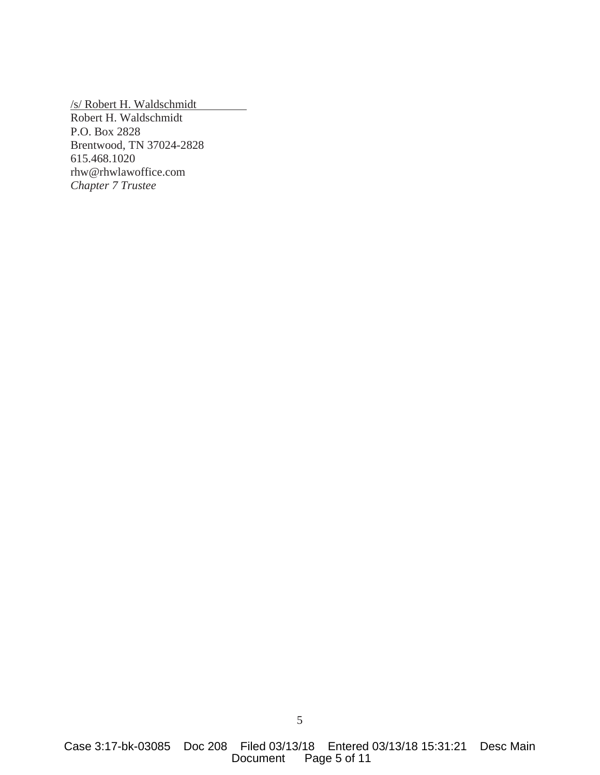/s/ Robert H. Waldschmidt Robert H. Waldschmidt P.O. Box 2828 Brentwood, TN 37024-2828 615.468.1020 rhw@rhwlawoffice.com *Chapter 7 Trustee*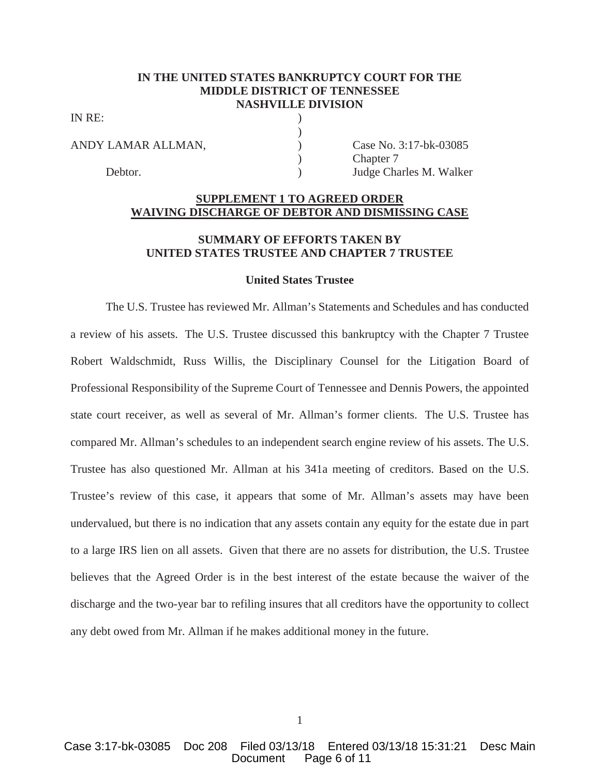## **IN THE UNITED STATES BANKRUPTCY COURT FOR THE MIDDLE DISTRICT OF TENNESSEE NASHVILLE DIVISION**

)

IN RE:

ANDY LAMAR ALLMAN,  $\qquad \qquad$  Case No. 3:17-bk-03085 Chapter 7 Debtor. (a) Debtor. (b) Judge Charles M. Walker

## **SUPPLEMENT 1 TO AGREED ORDER WAIVING DISCHARGE OF DEBTOR AND DISMISSING CASE**

## **SUMMARY OF EFFORTS TAKEN BY UNITED STATES TRUSTEE AND CHAPTER 7 TRUSTEE**

## **United States Trustee**

The U.S. Trustee has reviewed Mr. Allman's Statements and Schedules and has conducted a review of his assets. The U.S. Trustee discussed this bankruptcy with the Chapter 7 Trustee Robert Waldschmidt, Russ Willis, the Disciplinary Counsel for the Litigation Board of Professional Responsibility of the Supreme Court of Tennessee and Dennis Powers, the appointed state court receiver, as well as several of Mr. Allman's former clients. The U.S. Trustee has compared Mr. Allman's schedules to an independent search engine review of his assets. The U.S. Trustee has also questioned Mr. Allman at his 341a meeting of creditors. Based on the U.S. Trustee's review of this case, it appears that some of Mr. Allman's assets may have been undervalued, but there is no indication that any assets contain any equity for the estate due in part to a large IRS lien on all assets. Given that there are no assets for distribution, the U.S. Trustee believes that the Agreed Order is in the best interest of the estate because the waiver of the discharge and the two-year bar to refiling insures that all creditors have the opportunity to collect any debt owed from Mr. Allman if he makes additional money in the future.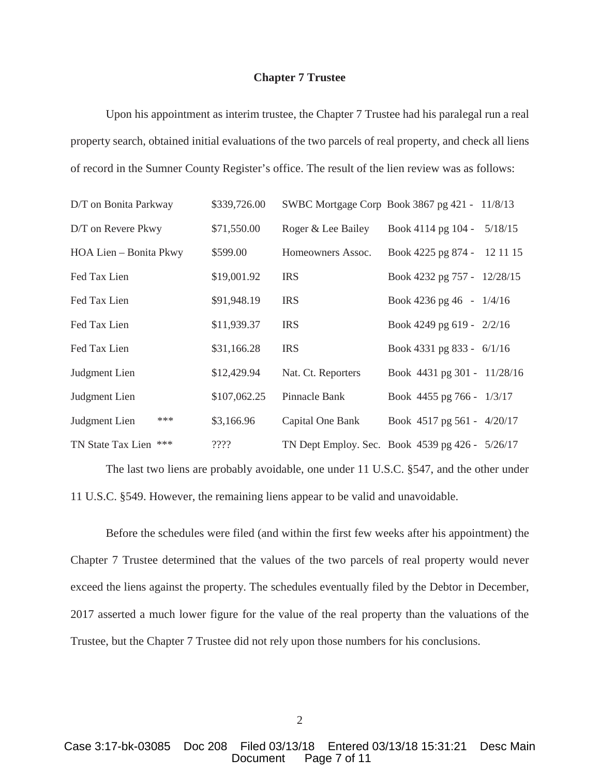### **Chapter 7 Trustee**

Upon his appointment as interim trustee, the Chapter 7 Trustee had his paralegal run a real property search, obtained initial evaluations of the two parcels of real property, and check all liens of record in the Sumner County Register's office. The result of the lien review was as follows:

| D/T on Bonita Parkway  | \$339,726.00 | SWBC Mortgage Corp Book 3867 pg 421 - 11/8/13   |                             |         |
|------------------------|--------------|-------------------------------------------------|-----------------------------|---------|
| D/T on Revere Pkwy     | \$71,550.00  | Roger & Lee Bailey                              | Book 4114 pg 104 -          | 5/18/15 |
| HOA Lien – Bonita Pkwy | \$599.00     | Homeowners Assoc.                               | Book 4225 pg 874 - 12 11 15 |         |
| Fed Tax Lien           | \$19,001.92  | <b>IRS</b>                                      | Book 4232 pg 757 - 12/28/15 |         |
| Fed Tax Lien           | \$91,948.19  | <b>IRS</b>                                      | Book 4236 pg 46 - $1/4/16$  |         |
| Fed Tax Lien           | \$11,939.37  | <b>IRS</b>                                      | Book 4249 pg 619 - 2/2/16   |         |
| Fed Tax Lien           | \$31,166.28  | <b>IRS</b>                                      | Book 4331 pg 833 - 6/1/16   |         |
| Judgment Lien          | \$12,429.94  | Nat. Ct. Reporters                              | Book 4431 pg 301 - 11/28/16 |         |
| Judgment Lien          | \$107,062.25 | Pinnacle Bank                                   | Book 4455 pg 766 - 1/3/17   |         |
| ***<br>Judgment Lien   | \$3,166.96   | Capital One Bank                                | Book 4517 pg 561 - 4/20/17  |         |
| TN State Tax Lien ***  | ????         | TN Dept Employ. Sec. Book 4539 pg 426 - 5/26/17 |                             |         |

The last two liens are probably avoidable, one under 11 U.S.C. §547, and the other under 11 U.S.C. §549. However, the remaining liens appear to be valid and unavoidable.

Before the schedules were filed (and within the first few weeks after his appointment) the Chapter 7 Trustee determined that the values of the two parcels of real property would never exceed the liens against the property. The schedules eventually filed by the Debtor in December, 2017 asserted a much lower figure for the value of the real property than the valuations of the Trustee, but the Chapter 7 Trustee did not rely upon those numbers for his conclusions.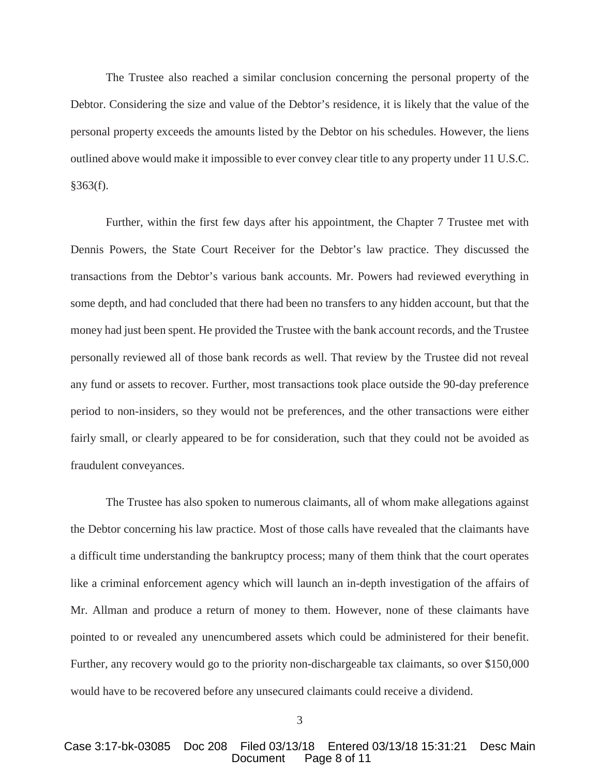The Trustee also reached a similar conclusion concerning the personal property of the Debtor. Considering the size and value of the Debtor's residence, it is likely that the value of the personal property exceeds the amounts listed by the Debtor on his schedules. However, the liens outlined above would make it impossible to ever convey clear title to any property under 11 U.S.C.  $§363(f).$ 

Further, within the first few days after his appointment, the Chapter 7 Trustee met with Dennis Powers, the State Court Receiver for the Debtor's law practice. They discussed the transactions from the Debtor's various bank accounts. Mr. Powers had reviewed everything in some depth, and had concluded that there had been no transfers to any hidden account, but that the money had just been spent. He provided the Trustee with the bank account records, and the Trustee personally reviewed all of those bank records as well. That review by the Trustee did not reveal any fund or assets to recover. Further, most transactions took place outside the 90-day preference period to non-insiders, so they would not be preferences, and the other transactions were either fairly small, or clearly appeared to be for consideration, such that they could not be avoided as fraudulent conveyances.

The Trustee has also spoken to numerous claimants, all of whom make allegations against the Debtor concerning his law practice. Most of those calls have revealed that the claimants have a difficult time understanding the bankruptcy process; many of them think that the court operates like a criminal enforcement agency which will launch an in-depth investigation of the affairs of Mr. Allman and produce a return of money to them. However, none of these claimants have pointed to or revealed any unencumbered assets which could be administered for their benefit. Further, any recovery would go to the priority non-dischargeable tax claimants, so over \$150,000 would have to be recovered before any unsecured claimants could receive a dividend.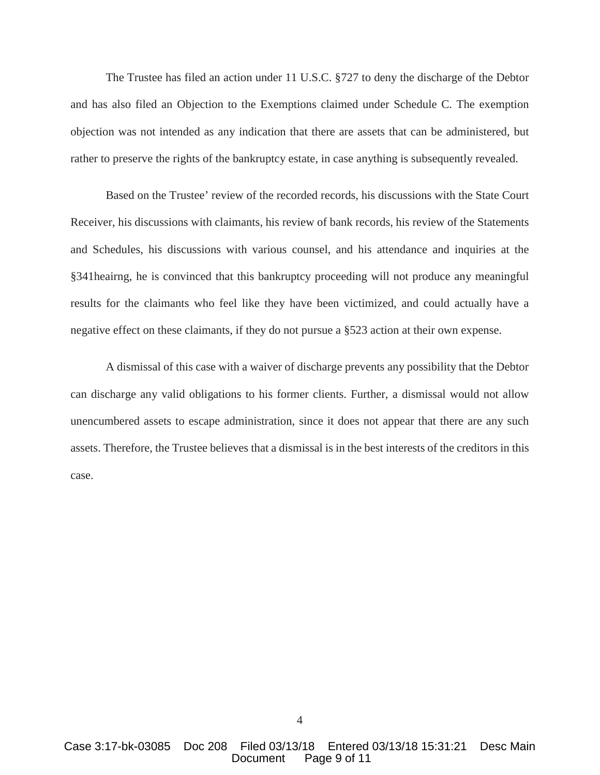The Trustee has filed an action under 11 U.S.C. §727 to deny the discharge of the Debtor and has also filed an Objection to the Exemptions claimed under Schedule C. The exemption objection was not intended as any indication that there are assets that can be administered, but rather to preserve the rights of the bankruptcy estate, in case anything is subsequently revealed.

Based on the Trustee' review of the recorded records, his discussions with the State Court Receiver, his discussions with claimants, his review of bank records, his review of the Statements and Schedules, his discussions with various counsel, and his attendance and inquiries at the §341heairng, he is convinced that this bankruptcy proceeding will not produce any meaningful results for the claimants who feel like they have been victimized, and could actually have a negative effect on these claimants, if they do not pursue a §523 action at their own expense.

A dismissal of this case with a waiver of discharge prevents any possibility that the Debtor can discharge any valid obligations to his former clients. Further, a dismissal would not allow unencumbered assets to escape administration, since it does not appear that there are any such assets. Therefore, the Trustee believes that a dismissal is in the best interests of the creditors in this case.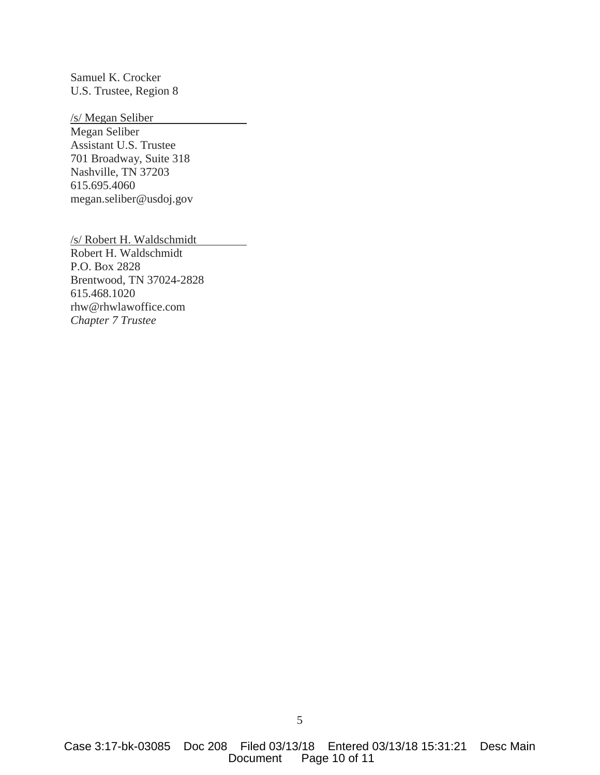Samuel K. Crocker U.S. Trustee, Region 8

/s/ Megan Seliber Megan Seliber Assistant U.S. Trustee 701 Broadway, Suite 318 Nashville, TN 37203 615.695.4060 megan.seliber@usdoj.gov

/s/ Robert H. Waldschmidt Robert H. Waldschmidt P.O. Box 2828 Brentwood, TN 37024-2828 615.468.1020 rhw@rhwlawoffice.com *Chapter 7 Trustee*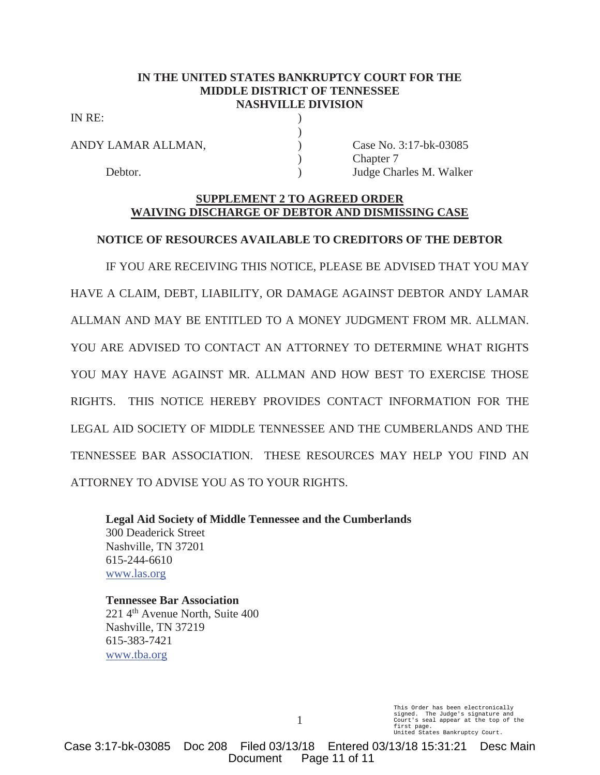## **IN THE UNITED STATES BANKRUPTCY COURT FOR THE MIDDLE DISTRICT OF TENNESSEE NASHVILLE DIVISION**

)

IN RE:

ANDY LAMAR ALLMAN,  $\qquad \qquad$  Case No. 3:17-bk-03085

) Chapter 7 Debtor. (a) a generally be a general policy of the United States M. Walker

## **SUPPLEMENT 2 TO AGREED ORDER WAIVING DISCHARGE OF DEBTOR AND DISMISSING CASE**

# **NOTICE OF RESOURCES AVAILABLE TO CREDITORS OF THE DEBTOR**

IF YOU ARE RECEIVING THIS NOTICE, PLEASE BE ADVISED THAT YOU MAY HAVE A CLAIM, DEBT, LIABILITY, OR DAMAGE AGAINST DEBTOR ANDY LAMAR ALLMAN AND MAY BE ENTITLED TO A MONEY JUDGMENT FROM MR. ALLMAN. YOU ARE ADVISED TO CONTACT AN ATTORNEY TO DETERMINE WHAT RIGHTS YOU MAY HAVE AGAINST MR. ALLMAN AND HOW BEST TO EXERCISE THOSE RIGHTS. THIS NOTICE HEREBY PROVIDES CONTACT INFORMATION FOR THE LEGAL AID SOCIETY OF MIDDLE TENNESSEE AND THE CUMBERLANDS AND THE TENNESSEE BAR ASSOCIATION. THESE RESOURCES MAY HELP YOU FIND AN ATTORNEY TO ADVISE YOU AS TO YOUR RIGHTS.

**Legal Aid Society of Middle Tennessee and the Cumberlands** 300 Deaderick Street Nashville, TN 37201 615-244-6610 www.las.org

**Tennessee Bar Association** 221 4<sup>th</sup> Avenue North, Suite 400 Nashville, TN 37219 615-383-7421 www.tba.org

> This Order has been electronically signed. The Judge's signature and Court's seal appear at the top of the first page. United States Bankruptcy Court.

Case 3:17-bk-03085 Doc 208 Filed 03/13/18 Entered 03/13/18 15:31:21 Desc Main Document Page 11 of 11

1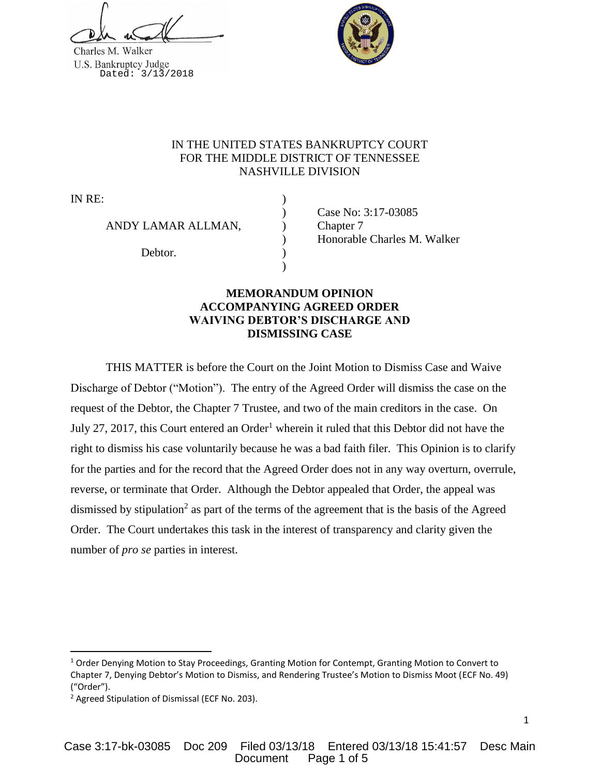



# IN THE UNITED STATES BANKRUPTCY COURT FOR THE MIDDLE DISTRICT OF TENNESSEE NASHVILLE DIVISION

IN RE:

ANDY LAMAR ALLMAN,  $\qquad$  ) Chapter 7

Debtor.

) Case No: 3:17-03085 ) Honorable Charles M. Walker

# **MEMORANDUM OPINION ACCOMPANYING AGREED ORDER WAIVING DEBTOR'S DISCHARGE AND DISMISSING CASE**

)

THIS MATTER is before the Court on the Joint Motion to Dismiss Case and Waive Discharge of Debtor ("Motion"). The entry of the Agreed Order will dismiss the case on the request of the Debtor, the Chapter 7 Trustee, and two of the main creditors in the case. On July 27, 2017, this Court entered an Order<sup>1</sup> wherein it ruled that this Debtor did not have the right to dismiss his case voluntarily because he was a bad faith filer. This Opinion is to clarify for the parties and for the record that the Agreed Order does not in any way overturn, overrule, reverse, or terminate that Order. Although the Debtor appealed that Order, the appeal was dismissed by stipulation<sup>2</sup> as part of the terms of the agreement that is the basis of the Agreed Order. The Court undertakes this task in the interest of transparency and clarity given the number of *pro se* parties in interest.

 $\overline{a}$ 

<sup>&</sup>lt;sup>1</sup> Order Denying Motion to Stay Proceedings, Granting Motion for Contempt, Granting Motion to Convert to Chapter 7, Denying Debtor's Motion to Dismiss, and Rendering Trustee's Motion to Dismiss Moot (ECF No. 49) ("Order").

<sup>2</sup> Agreed Stipulation of Dismissal (ECF No. 203).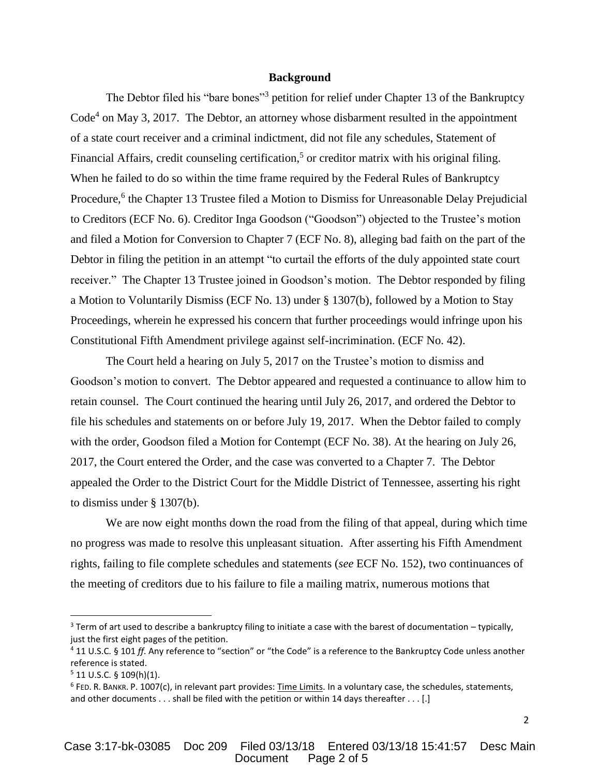### **Background**

The Debtor filed his "bare bones"<sup>3</sup> petition for relief under Chapter 13 of the Bankruptcy  $Code<sup>4</sup>$  on May 3, 2017. The Debtor, an attorney whose disbarment resulted in the appointment of a state court receiver and a criminal indictment, did not file any schedules, Statement of Financial Affairs, credit counseling certification,<sup>5</sup> or creditor matrix with his original filing. When he failed to do so within the time frame required by the Federal Rules of Bankruptcy Procedure,<sup>6</sup> the Chapter 13 Trustee filed a Motion to Dismiss for Unreasonable Delay Prejudicial to Creditors (ECF No. 6). Creditor Inga Goodson ("Goodson") objected to the Trustee's motion and filed a Motion for Conversion to Chapter 7 (ECF No. 8), alleging bad faith on the part of the Debtor in filing the petition in an attempt "to curtail the efforts of the duly appointed state court receiver." The Chapter 13 Trustee joined in Goodson's motion. The Debtor responded by filing a Motion to Voluntarily Dismiss (ECF No. 13) under § 1307(b), followed by a Motion to Stay Proceedings, wherein he expressed his concern that further proceedings would infringe upon his Constitutional Fifth Amendment privilege against self-incrimination. (ECF No. 42).

The Court held a hearing on July 5, 2017 on the Trustee's motion to dismiss and Goodson's motion to convert. The Debtor appeared and requested a continuance to allow him to retain counsel. The Court continued the hearing until July 26, 2017, and ordered the Debtor to file his schedules and statements on or before July 19, 2017. When the Debtor failed to comply with the order, Goodson filed a Motion for Contempt (ECF No. 38). At the hearing on July 26, 2017, the Court entered the Order, and the case was converted to a Chapter 7. The Debtor appealed the Order to the District Court for the Middle District of Tennessee, asserting his right to dismiss under § 1307(b).

We are now eight months down the road from the filing of that appeal, during which time no progress was made to resolve this unpleasant situation. After asserting his Fifth Amendment rights, failing to file complete schedules and statements (*see* ECF No. 152), two continuances of the meeting of creditors due to his failure to file a mailing matrix, numerous motions that

 $\overline{\phantom{a}}$ 

 $3$  Term of art used to describe a bankruptcy filing to initiate a case with the barest of documentation – typically, just the first eight pages of the petition.

<sup>4</sup> 11 U.S.C. § 101 *ff*. Any reference to "section" or "the Code" is a reference to the Bankruptcy Code unless another reference is stated.

 $5$  11 U.S.C. § 109(h)(1).

<sup>6</sup> FED. R. BANKR. P. 1007(c), in relevant part provides: Time Limits. In a voluntary case, the schedules, statements, and other documents . . . shall be filed with the petition or within 14 days thereafter . . . [.]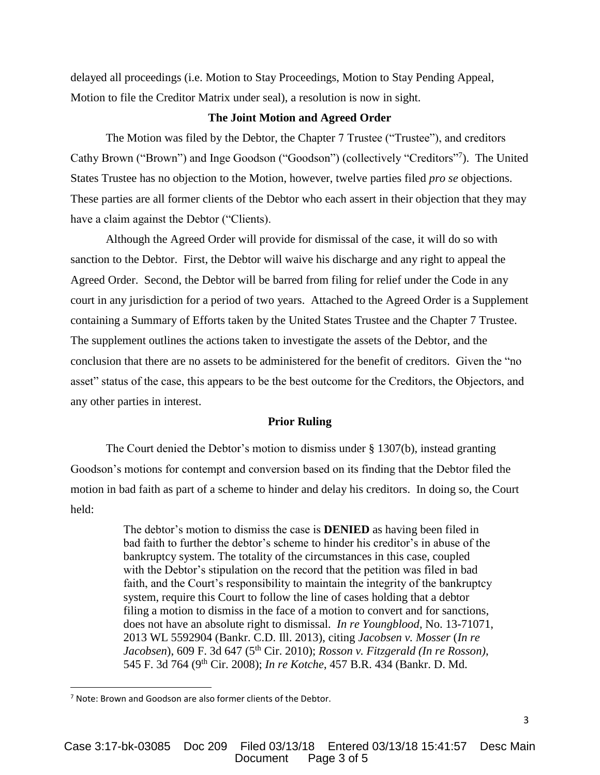delayed all proceedings (i.e. Motion to Stay Proceedings, Motion to Stay Pending Appeal, Motion to file the Creditor Matrix under seal), a resolution is now in sight.

### **The Joint Motion and Agreed Order**

The Motion was filed by the Debtor, the Chapter 7 Trustee ("Trustee"), and creditors Cathy Brown ("Brown") and Inge Goodson ("Goodson") (collectively "Creditors"<sup>7</sup> ). The United States Trustee has no objection to the Motion, however, twelve parties filed *pro se* objections. These parties are all former clients of the Debtor who each assert in their objection that they may have a claim against the Debtor ("Clients).

Although the Agreed Order will provide for dismissal of the case, it will do so with sanction to the Debtor. First, the Debtor will waive his discharge and any right to appeal the Agreed Order. Second, the Debtor will be barred from filing for relief under the Code in any court in any jurisdiction for a period of two years. Attached to the Agreed Order is a Supplement containing a Summary of Efforts taken by the United States Trustee and the Chapter 7 Trustee. The supplement outlines the actions taken to investigate the assets of the Debtor, and the conclusion that there are no assets to be administered for the benefit of creditors. Given the "no asset" status of the case, this appears to be the best outcome for the Creditors, the Objectors, and any other parties in interest.

### **Prior Ruling**

The Court denied the Debtor's motion to dismiss under § 1307(b), instead granting Goodson's motions for contempt and conversion based on its finding that the Debtor filed the motion in bad faith as part of a scheme to hinder and delay his creditors. In doing so, the Court held:

> The debtor's motion to dismiss the case is **DENIED** as having been filed in bad faith to further the debtor's scheme to hinder his creditor's in abuse of the bankruptcy system. The totality of the circumstances in this case, coupled with the Debtor's stipulation on the record that the petition was filed in bad faith, and the Court's responsibility to maintain the integrity of the bankruptcy system, require this Court to follow the line of cases holding that a debtor filing a motion to dismiss in the face of a motion to convert and for sanctions, does not have an absolute right to dismissal. *In re Youngblood*, No. 13-71071, 2013 WL 5592904 (Bankr. C.D. Ill. 2013), citing *Jacobsen v. Mosser* (*In re Jacobsen*), 609 F. 3d 647 (5th Cir. 2010); *Rosson v. Fitzgerald (In re Rosson)*, 545 F. 3d 764 (9th Cir. 2008); *In re Kotche*, 457 B.R. 434 (Bankr. D. Md.

 $\overline{\phantom{a}}$ 

<sup>7</sup> Note: Brown and Goodson are also former clients of the Debtor.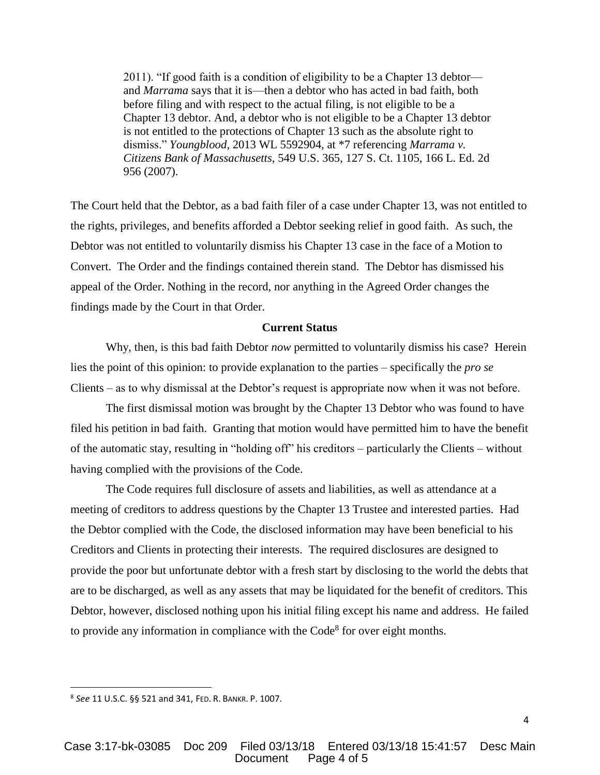2011). "If good faith is a condition of eligibility to be a Chapter 13 debtor and *Marrama* says that it is—then a debtor who has acted in bad faith, both before filing and with respect to the actual filing, is not eligible to be a Chapter 13 debtor. And, a debtor who is not eligible to be a Chapter 13 debtor is not entitled to the protections of Chapter 13 such as the absolute right to dismiss." *Youngblood*, 2013 WL 5592904, at \*7 referencing *Marrama v. Citizens Bank of Massachusetts,* 549 U.S. 365, 127 S. Ct. 1105, 166 L. Ed. 2d 956 (2007).

The Court held that the Debtor, as a bad faith filer of a case under Chapter 13, was not entitled to the rights, privileges, and benefits afforded a Debtor seeking relief in good faith. As such, the Debtor was not entitled to voluntarily dismiss his Chapter 13 case in the face of a Motion to Convert. The Order and the findings contained therein stand. The Debtor has dismissed his appeal of the Order. Nothing in the record, nor anything in the Agreed Order changes the findings made by the Court in that Order.

#### **Current Status**

Why, then, is this bad faith Debtor *now* permitted to voluntarily dismiss his case? Herein lies the point of this opinion: to provide explanation to the parties – specifically the *pro se* Clients – as to why dismissal at the Debtor's request is appropriate now when it was not before.

The first dismissal motion was brought by the Chapter 13 Debtor who was found to have filed his petition in bad faith. Granting that motion would have permitted him to have the benefit of the automatic stay, resulting in "holding off" his creditors – particularly the Clients – without having complied with the provisions of the Code.

The Code requires full disclosure of assets and liabilities, as well as attendance at a meeting of creditors to address questions by the Chapter 13 Trustee and interested parties. Had the Debtor complied with the Code, the disclosed information may have been beneficial to his Creditors and Clients in protecting their interests. The required disclosures are designed to provide the poor but unfortunate debtor with a fresh start by disclosing to the world the debts that are to be discharged, as well as any assets that may be liquidated for the benefit of creditors. This Debtor, however, disclosed nothing upon his initial filing except his name and address. He failed to provide any information in compliance with the Code<sup>8</sup> for over eight months.

 $\overline{\phantom{a}}$ 

<sup>8</sup> *See* 11 U.S.C. §§ 521 and 341, FED. R. BANKR. P. 1007.